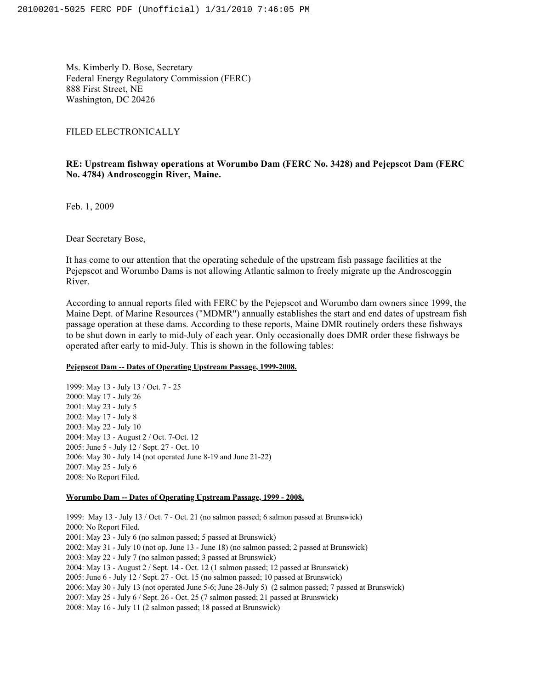Ms. Kimberly D. Bose, Secretary Federal Energy Regulatory Commission (FERC) 888 First Street, NE Washington, DC 20426

# FILED ELECTRONICALLY

# **RE: Upstream fishway operations at Worumbo Dam (FERC No. 3428) and Pejepscot Dam (FERC No. 4784) Androscoggin River, Maine.**

Feb. 1, 2009

Dear Secretary Bose,

It has come to our attention that the operating schedule of the upstream fish passage facilities at the Pejepscot and Worumbo Dams is not allowing Atlantic salmon to freely migrate up the Androscoggin River.

According to annual reports filed with FERC by the Pejepscot and Worumbo dam owners since 1999, the Maine Dept. of Marine Resources ("MDMR") annually establishes the start and end dates of upstream fish passage operation at these dams. According to these reports, Maine DMR routinely orders these fishways to be shut down in early to mid-July of each year. Only occasionally does DMR order these fishways be operated after early to mid-July. This is shown in the following tables:

### **Pejepscot Dam -- Dates of Operating Upstream Passage, 1999-2008.**

1999: May 13 - July 13 / Oct. 7 - 25 2000: May 17 - July 26 2001: May 23 - July 5 2002: May 17 - July 8 2003: May 22 - July 10 2004: May 13 - August 2 / Oct. 7-Oct. 12 2005: June 5 - July 12 / Sept. 27 - Oct. 10 2006: May 30 - July 14 (not operated June 8-19 and June 21-22) 2007: May 25 - July 6 2008: No Report Filed.

#### **Worumbo Dam -- Dates of Operating Upstream Passage, 1999 - 2008.**

1999: May 13 - July 13 / Oct. 7 - Oct. 21 (no salmon passed; 6 salmon passed at Brunswick) 2000: No Report Filed. 2001: May 23 - July 6 (no salmon passed; 5 passed at Brunswick) 2002: May 31 - July 10 (not op. June 13 - June 18) (no salmon passed; 2 passed at Brunswick) 2003: May 22 - July 7 (no salmon passed; 3 passed at Brunswick) 2004: May 13 - August 2 / Sept. 14 - Oct. 12 (1 salmon passed; 12 passed at Brunswick) 2005: June 6 - July 12 / Sept. 27 - Oct. 15 (no salmon passed; 10 passed at Brunswick) 2006: May 30 - July 13 (not operated June 5-6; June 28-July 5) (2 salmon passed; 7 passed at Brunswick) 2007: May 25 - July 6 / Sept. 26 - Oct. 25 (7 salmon passed; 21 passed at Brunswick) 2008: May 16 - July 11 (2 salmon passed; 18 passed at Brunswick)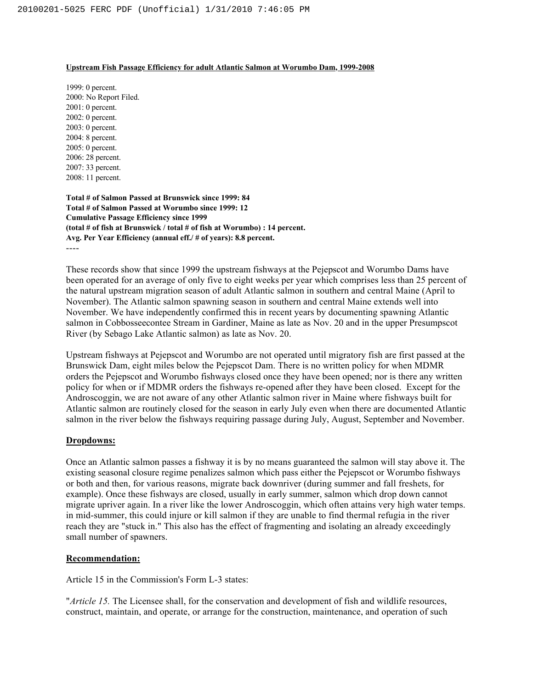### **Upstream Fish Passage Efficiency for adult Atlantic Salmon at Worumbo Dam, 1999-2008**

1999: 0 percent. 2000: No Report Filed. 2001: 0 percent. 2002: 0 percent. 2003: 0 percent. 2004: 8 percent. 2005: 0 percent. 2006: 28 percent. 2007: 33 percent. 2008: 11 percent.

**Total # of Salmon Passed at Brunswick since 1999: 84 Total # of Salmon Passed at Worumbo since 1999: 12 Cumulative Passage Efficiency since 1999 (total # of fish at Brunswick / total # of fish at Worumbo) : 14 percent. Avg. Per Year Efficiency (annual eff./ # of years): 8.8 percent.** ----

These records show that since 1999 the upstream fishways at the Pejepscot and Worumbo Dams have been operated for an average of only five to eight weeks per year which comprises less than 25 percent of the natural upstream migration season of adult Atlantic salmon in southern and central Maine (April to November). The Atlantic salmon spawning season in southern and central Maine extends well into November. We have independently confirmed this in recent years by documenting spawning Atlantic salmon in Cobbosseecontee Stream in Gardiner, Maine as late as Nov. 20 and in the upper Presumpscot River (by Sebago Lake Atlantic salmon) as late as Nov. 20.

Upstream fishways at Pejepscot and Worumbo are not operated until migratory fish are first passed at the Brunswick Dam, eight miles below the Pejepscot Dam. There is no written policy for when MDMR orders the Pejepscot and Worumbo fishways closed once they have been opened; nor is there any written policy for when or if MDMR orders the fishways re-opened after they have been closed. Except for the Androscoggin, we are not aware of any other Atlantic salmon river in Maine where fishways built for Atlantic salmon are routinely closed for the season in early July even when there are documented Atlantic salmon in the river below the fishways requiring passage during July, August, September and November.

# **Dropdowns:**

Once an Atlantic salmon passes a fishway it is by no means guaranteed the salmon will stay above it. The existing seasonal closure regime penalizes salmon which pass either the Pejepscot or Worumbo fishways or both and then, for various reasons, migrate back downriver (during summer and fall freshets, for example). Once these fishways are closed, usually in early summer, salmon which drop down cannot migrate upriver again. In a river like the lower Androscoggin, which often attains very high water temps. in mid-summer, this could injure or kill salmon if they are unable to find thermal refugia in the river reach they are "stuck in." This also has the effect of fragmenting and isolating an already exceedingly small number of spawners.

# **Recommendation:**

Article 15 in the Commission's Form L-3 states:

"*Article 15.* The Licensee shall, for the conservation and development of fish and wildlife resources, construct, maintain, and operate, or arrange for the construction, maintenance, and operation of such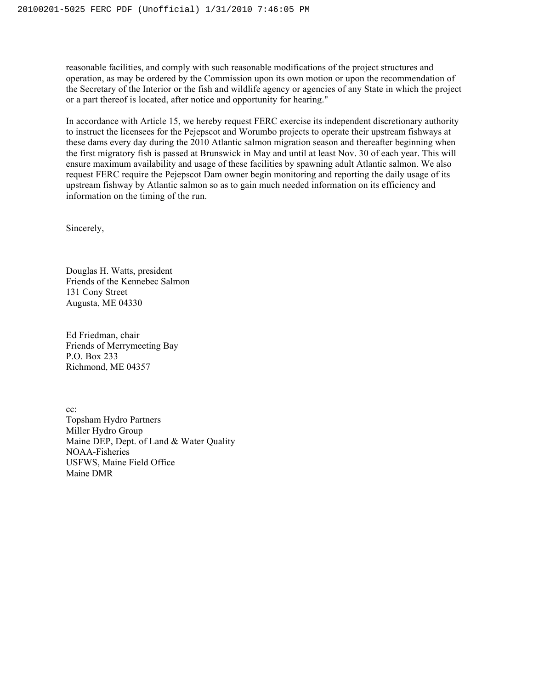reasonable facilities, and comply with such reasonable modifications of the project structures and operation, as may be ordered by the Commission upon its own motion or upon the recommendation of the Secretary of the Interior or the fish and wildlife agency or agencies of any State in which the project or a part thereof is located, after notice and opportunity for hearing."

In accordance with Article 15, we hereby request FERC exercise its independent discretionary authority to instruct the licensees for the Pejepscot and Worumbo projects to operate their upstream fishways at these dams every day during the 2010 Atlantic salmon migration season and thereafter beginning when the first migratory fish is passed at Brunswick in May and until at least Nov. 30 of each year. This will ensure maximum availability and usage of these facilities by spawning adult Atlantic salmon. We also request FERC require the Pejepscot Dam owner begin monitoring and reporting the daily usage of its upstream fishway by Atlantic salmon so as to gain much needed information on its efficiency and information on the timing of the run.

Sincerely,

Douglas H. Watts, president Friends of the Kennebec Salmon 131 Cony Street Augusta, ME 04330

Ed Friedman, chair Friends of Merrymeeting Bay P.O. Box 233 Richmond, ME 04357

cc: Topsham Hydro Partners Miller Hydro Group Maine DEP, Dept. of Land & Water Quality NOAA-Fisheries USFWS, Maine Field Office Maine DMR